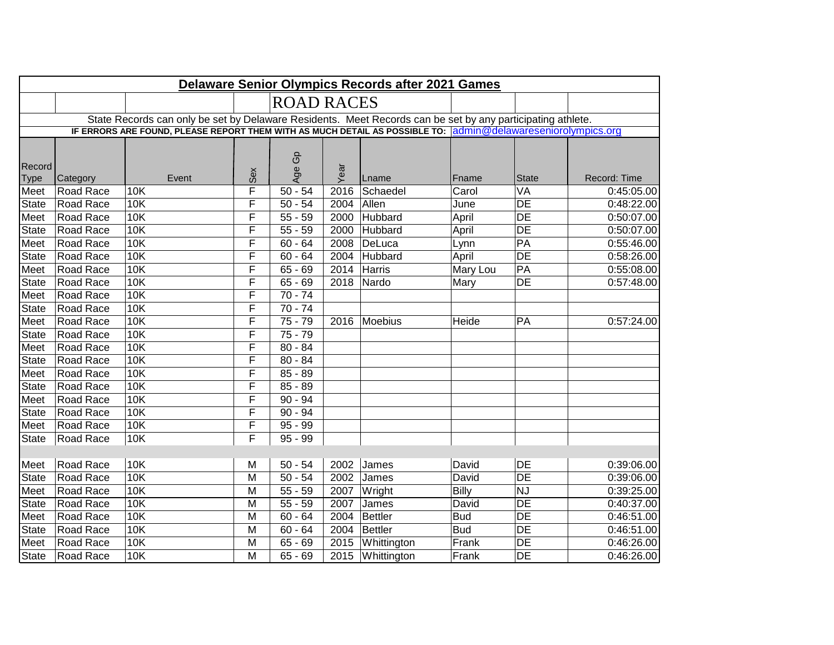| <b>Delaware Senior Olympics Records after 2021 Games</b>                                                   |           |            |     |                                                                                                              |      |                  |               |                 |              |  |  |
|------------------------------------------------------------------------------------------------------------|-----------|------------|-----|--------------------------------------------------------------------------------------------------------------|------|------------------|---------------|-----------------|--------------|--|--|
|                                                                                                            |           |            |     | <b>ROAD RACES</b>                                                                                            |      |                  |               |                 |              |  |  |
| State Records can only be set by Delaware Residents. Meet Records can be set by any participating athlete. |           |            |     |                                                                                                              |      |                  |               |                 |              |  |  |
|                                                                                                            |           |            |     | IF ERRORS ARE FOUND, PLEASE REPORT THEM WITH AS MUCH DETAIL AS POSSIBLE TO: admin@delawareseniorolympics.org |      |                  |               |                 |              |  |  |
|                                                                                                            |           |            |     |                                                                                                              |      |                  |               |                 |              |  |  |
|                                                                                                            |           |            |     | G <sub>D</sub>                                                                                               |      |                  |               |                 |              |  |  |
| Record<br><b>Type</b>                                                                                      | Category  | Event      | Sex | Age                                                                                                          | Year | Lname            | Fname         | <b>State</b>    | Record: Time |  |  |
| Meet                                                                                                       | Road Race | 10K        | F   | $50 - 54$                                                                                                    | 2016 | Schaedel         | Carol         | VA              | 0:45:05.00   |  |  |
| <b>State</b>                                                                                               | Road Race | <b>10K</b> | F   | $50 - 54$                                                                                                    | 2004 | Allen            | June          | $\overline{DE}$ | 0:48:22.00   |  |  |
| Meet                                                                                                       | Road Race | 10K        | F   | $55 - 59$                                                                                                    | 2000 | Hubbard          | April         | DE              | 0:50:07.00   |  |  |
| State                                                                                                      | Road Race | 10K        | F   | $55 - 59$                                                                                                    | 2000 | Hubbard          | April         | $\overline{DE}$ | 0:50:07.00   |  |  |
| Meet                                                                                                       | Road Race | 10K        | F   | $60 - 64$                                                                                                    | 2008 | DeLuca           |               | $\overline{PA}$ | 0:55:46.00   |  |  |
| State                                                                                                      | Road Race | 10K        | F   | $60 - 64$                                                                                                    | 2004 | Hubbard          | Lynn<br>April | $\overline{DE}$ | 0:58:26.00   |  |  |
| Meet                                                                                                       | Road Race | 10K        | F   | $65 - 69$                                                                                                    | 2014 | Harris           |               | $\overline{PA}$ | 0:55:08.00   |  |  |
| <b>State</b>                                                                                               |           | 10K        | F   | $65 - 69$                                                                                                    | 2018 |                  | Mary Lou      | $\overline{DE}$ |              |  |  |
|                                                                                                            | Road Race | 10K        | F   | $70 - 74$                                                                                                    |      | Nardo            | Mary          |                 | 0:57:48.00   |  |  |
| Meet                                                                                                       | Road Race |            |     |                                                                                                              |      |                  |               |                 |              |  |  |
| <b>State</b>                                                                                               | Road Race | 10K        | F   | $70 - 74$                                                                                                    |      |                  |               |                 |              |  |  |
| Meet                                                                                                       | Road Race | 10K        | F   | $75 - 79$                                                                                                    | 2016 | Moebius          | <b>Heide</b>  | PA              | 0:57:24.00   |  |  |
| <b>State</b>                                                                                               | Road Race | 10K        | F   | $75 - 79$                                                                                                    |      |                  |               |                 |              |  |  |
| Meet                                                                                                       | Road Race | 10K        | F   | $80 - 84$                                                                                                    |      |                  |               |                 |              |  |  |
| <b>State</b>                                                                                               | Road Race | 10K        | F   | $80 - 84$                                                                                                    |      |                  |               |                 |              |  |  |
| Meet                                                                                                       | Road Race | 10K        | F   | $85 - 89$                                                                                                    |      |                  |               |                 |              |  |  |
| <b>State</b>                                                                                               | Road Race | 10K        | F   | $85 - 89$                                                                                                    |      |                  |               |                 |              |  |  |
| Meet                                                                                                       | Road Race | 10K        | F   | $90 - 94$                                                                                                    |      |                  |               |                 |              |  |  |
| <b>State</b>                                                                                               | Road Race | 10K        | F   | $90 - 94$                                                                                                    |      |                  |               |                 |              |  |  |
| Meet                                                                                                       | Road Race | 10K        | F   | $95 - 99$                                                                                                    |      |                  |               |                 |              |  |  |
| <b>State</b>                                                                                               | Road Race | 10K        | F   | $95 - 99$                                                                                                    |      |                  |               |                 |              |  |  |
|                                                                                                            |           |            |     |                                                                                                              |      |                  |               |                 |              |  |  |
| Meet                                                                                                       | Road Race | 10K        | M   | $50 - 54$                                                                                                    | 2002 | James            | David         | <b>DE</b>       | 0:39:06.00   |  |  |
| <b>State</b>                                                                                               | Road Race | 10K        | M   | $50 - 54$                                                                                                    | 2002 | James            | David         | $\overline{DE}$ | 0:39:06.00   |  |  |
| Meet                                                                                                       | Road Race | 10K        | M   | $55 - 59$                                                                                                    | 2007 | Wright           | <b>Billy</b>  | <b>NJ</b>       | 0:39:25.00   |  |  |
| <b>State</b>                                                                                               | Road Race | 10K        | M   | $55 - 59$                                                                                                    | 2007 | James            | David         | $\overline{DE}$ | 0:40:37.00   |  |  |
| Meet                                                                                                       | Road Race | 10K        | M   | $60 - 64$                                                                                                    | 2004 | Bettler          | <b>Bud</b>    | $\overline{DE}$ | 0:46:51.00   |  |  |
| <b>State</b>                                                                                               | Road Race | 10K        | M   | $60 - 64$                                                                                                    | 2004 | Bettler          | <b>Bud</b>    | $\overline{DE}$ | 0:46:51.00   |  |  |
| Meet                                                                                                       | Road Race | <b>10K</b> | M   | $65 - 69$                                                                                                    | 2015 | Whittington      | Frank         | DE              | 0:46:26.00   |  |  |
| <b>State</b>                                                                                               | Road Race | <b>10K</b> | M   | $65 - 69$                                                                                                    |      | 2015 Whittington | Frank         | $\overline{DE}$ | 0:46:26.00   |  |  |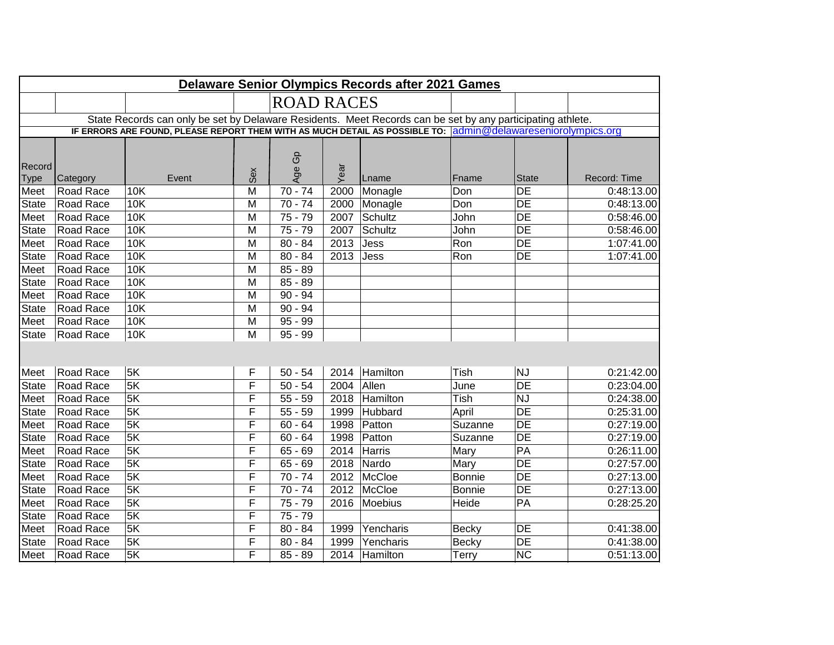| <b>Delaware Senior Olympics Records after 2021 Games</b> |           |                                                                                                            |                                                                                                              |                   |      |               |               |                 |              |  |
|----------------------------------------------------------|-----------|------------------------------------------------------------------------------------------------------------|--------------------------------------------------------------------------------------------------------------|-------------------|------|---------------|---------------|-----------------|--------------|--|
|                                                          |           |                                                                                                            |                                                                                                              | <b>ROAD RACES</b> |      |               |               |                 |              |  |
|                                                          |           | State Records can only be set by Delaware Residents. Meet Records can be set by any participating athlete. |                                                                                                              |                   |      |               |               |                 |              |  |
|                                                          |           |                                                                                                            | IF ERRORS ARE FOUND, PLEASE REPORT THEM WITH AS MUCH DETAIL AS POSSIBLE TO: admin@delawareseniorolympics.org |                   |      |               |               |                 |              |  |
|                                                          |           |                                                                                                            |                                                                                                              |                   |      |               |               |                 |              |  |
|                                                          |           |                                                                                                            |                                                                                                              | G <sub>D</sub>    |      |               |               |                 |              |  |
| Record<br><b>Type</b>                                    | Category  | Event                                                                                                      | Sex                                                                                                          | Age               | Year | Lname         | Fname         | <b>State</b>    | Record: Time |  |
| Meet                                                     | Road Race | <b>10K</b>                                                                                                 | M                                                                                                            | $70 - 74$         | 2000 | Monagle       | Don           | $\overline{DE}$ | 0:48:13.00   |  |
| State                                                    | Road Race | <b>10K</b>                                                                                                 | M                                                                                                            | $70 - 74$         | 2000 | Monagle       | Don           | $\overline{DE}$ | 0:48:13.00   |  |
| Meet                                                     | Road Race | <b>10K</b>                                                                                                 | M                                                                                                            | $75 - 79$         | 2007 | Schultz       | John          | DE              | 0:58:46.00   |  |
| State                                                    | Road Race | 10K                                                                                                        | M                                                                                                            | $75 - 79$         | 2007 | Schultz       | John          | DE              | 0:58:46.00   |  |
| Meet                                                     | Road Race | 10K                                                                                                        | M                                                                                                            | $80 - 84$         | 2013 | Jess          | Ron           | DE              | 1:07:41.00   |  |
| State                                                    | Road Race | 10K                                                                                                        | M                                                                                                            | $80 - 84$         | 2013 | Jess          | Ron           | $\overline{DE}$ | 1:07:41.00   |  |
| Meet                                                     | Road Race | 10K                                                                                                        | M                                                                                                            | $85 - 89$         |      |               |               |                 |              |  |
| State                                                    | Road Race | 10K                                                                                                        | M                                                                                                            | $85 - 89$         |      |               |               |                 |              |  |
| Meet                                                     | Road Race | 10K                                                                                                        | M                                                                                                            | $90 - 94$         |      |               |               |                 |              |  |
| <b>State</b>                                             | Road Race | 10K                                                                                                        | M                                                                                                            | $90 - 94$         |      |               |               |                 |              |  |
| Meet                                                     | Road Race | 10K                                                                                                        | M                                                                                                            | $95 - 99$         |      |               |               |                 |              |  |
| <b>State</b>                                             | Road Race | 10K                                                                                                        | M                                                                                                            | $95 - 99$         |      |               |               |                 |              |  |
|                                                          |           |                                                                                                            |                                                                                                              |                   |      |               |               |                 |              |  |
|                                                          |           |                                                                                                            |                                                                                                              |                   |      |               |               |                 |              |  |
| Meet                                                     | Road Race | 5K                                                                                                         | F                                                                                                            | $50 - 54$         | 2014 | Hamilton      | Tish          | <b>NJ</b>       | 0:21:42.00   |  |
| State                                                    | Road Race | 5K                                                                                                         | F                                                                                                            | $50 - 54$         | 2004 | Allen         | June          | $\overline{DE}$ | 0:23:04.00   |  |
| Meet                                                     | Road Race | 5K                                                                                                         | F                                                                                                            | $55 - 59$         | 2018 | Hamilton      | Tish          | <b>NJ</b>       | 0:24:38.00   |  |
| State                                                    | Road Race | 5K                                                                                                         | F                                                                                                            | $55 - 59$         | 1999 | Hubbard       | April         | $\overline{DE}$ | 0:25:31.00   |  |
| Meet                                                     | Road Race | 5K                                                                                                         | F                                                                                                            | $60 - 64$         | 1998 | Patton        | Suzanne       | $\overline{DE}$ | 0:27:19.00   |  |
| State                                                    | Road Race | 5K                                                                                                         | F                                                                                                            | $60 - 64$         | 1998 | Patton        | Suzanne       | <b>DE</b>       | 0:27:19.00   |  |
| Meet                                                     | Road Race | 5K                                                                                                         | F                                                                                                            | $65 - 69$         | 2014 | Harris        | Mary          | PA              | 0:26:11.00   |  |
| State                                                    | Road Race | 5K                                                                                                         | F                                                                                                            | $65 - 69$         | 2018 | Nardo         | Mary          | DE              | 0:27:57.00   |  |
| Meet                                                     | Road Race | 5K                                                                                                         | F                                                                                                            | $70 - 74$         | 2012 | McCloe        | <b>Bonnie</b> | DE              | 0:27:13.00   |  |
| State                                                    | Road Race | 5K                                                                                                         | F                                                                                                            | $70 - 74$         | 2012 | McCloe        | <b>Bonnie</b> | $\overline{DE}$ | 0:27:13.00   |  |
| Meet                                                     | Road Race | 5K                                                                                                         | F                                                                                                            | $75 - 79$         | 2016 | Moebius       | Heide         | PA              | 0:28:25.20   |  |
| State                                                    | Road Race | 5K                                                                                                         | F                                                                                                            | $75 - 79$         |      |               |               |                 |              |  |
| Meet                                                     | Road Race | 5K                                                                                                         | F                                                                                                            | $80 - 84$         | 1999 | Yencharis     | <b>Becky</b>  | <b>DE</b>       | 0:41:38.00   |  |
| State                                                    | Road Race | 5K                                                                                                         | F                                                                                                            | $80 - 84$         | 1999 | Yencharis     | <b>Becky</b>  | DE              | 0:41:38.00   |  |
| Meet                                                     | Road Race | 5K                                                                                                         | F                                                                                                            | $85 - 89$         |      | 2014 Hamilton | Terry         | <b>NC</b>       | 0:51:13.00   |  |